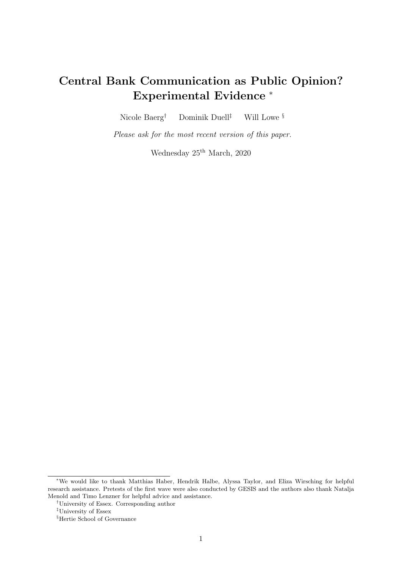# Central Bank Communication as Public Opinion? Experimental Evidence <sup>∗</sup>

Nicole Baerg<sup>†</sup> Dominik Duell<sup>‡</sup> Will Lowe  $\S$ 

Please ask for the most recent version of this paper.

Wednesday  $25<sup>th</sup> March, 2020$ 

<sup>∗</sup>We would like to thank Matthias Haber, Hendrik Halbe, Alyssa Taylor, and Eliza Wirsching for helpful research assistance. Pretests of the first wave were also conducted by GESIS and the authors also thank Natalja Menold and Timo Lenzner for helpful advice and assistance.

<sup>†</sup>University of Essex. Corresponding author

<sup>‡</sup>University of Essex

<sup>§</sup>Hertie School of Governance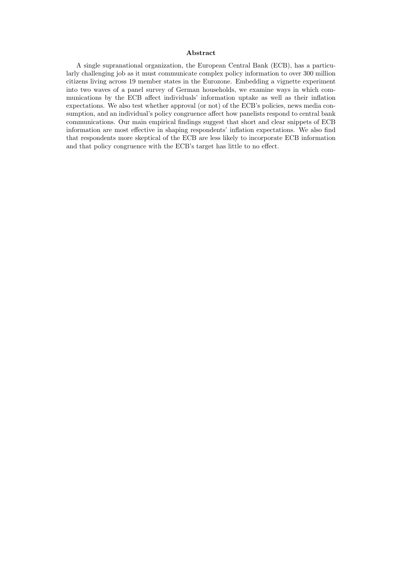#### Abstract

A single supranational organization, the European Central Bank (ECB), has a particularly challenging job as it must communicate complex policy information to over 300 million citizens living across 19 member states in the Eurozone. Embedding a vignette experiment into two waves of a panel survey of German households, we examine ways in which communications by the ECB affect individuals' information uptake as well as their inflation expectations. We also test whether approval (or not) of the ECB's policies, news media consumption, and an individual's policy congruence affect how panelists respond to central bank communications. Our main empirical findings suggest that short and clear snippets of ECB information are most effective in shaping respondents' inflation expectations. We also find that respondents more skeptical of the ECB are less likely to incorporate ECB information and that policy congruence with the ECB's target has little to no effect.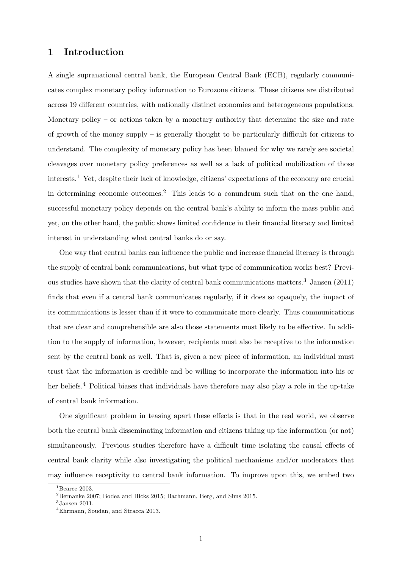### 1 Introduction

A single supranational central bank, the European Central Bank (ECB), regularly communicates complex monetary policy information to Eurozone citizens. These citizens are distributed across 19 different countries, with nationally distinct economies and heterogeneous populations. Monetary policy – or actions taken by a monetary authority that determine the size and rate of growth of the money supply – is generally thought to be particularly difficult for citizens to understand. The complexity of monetary policy has been blamed for why we rarely see societal cleavages over monetary policy preferences as well as a lack of political mobilization of those interests.<sup>[1](#page-2-0)</sup> Yet, despite their lack of knowledge, citizens' expectations of the economy are crucial in determining economic outcomes.[2](#page-2-1) This leads to a conundrum such that on the one hand, successful monetary policy depends on the central bank's ability to inform the mass public and yet, on the other hand, the public shows limited confidence in their financial literacy and limited interest in understanding what central banks do or say.

One way that central banks can influence the public and increase financial literacy is through the supply of central bank communications, but what type of communication works best? Previous studies have shown that the clarity of central bank communications matters.[3](#page-2-2) Jansen (2011) finds that even if a central bank communicates regularly, if it does so opaquely, the impact of its communications is lesser than if it were to communicate more clearly. Thus communications that are clear and comprehensible are also those statements most likely to be effective. In addition to the supply of information, however, recipients must also be receptive to the information sent by the central bank as well. That is, given a new piece of information, an individual must trust that the information is credible and be willing to incorporate the information into his or her beliefs.<sup>[4](#page-2-3)</sup> Political biases that individuals have therefore may also play a role in the up-take of central bank information.

One significant problem in teasing apart these effects is that in the real world, we observe both the central bank disseminating information and citizens taking up the information (or not) simultaneously. Previous studies therefore have a difficult time isolating the causal effects of central bank clarity while also investigating the political mechanisms and/or moderators that may influence receptivity to central bank information. To improve upon this, we embed two

<span id="page-2-0"></span> ${}^{1}$ Bearce [2003.](#page-24-0)

<span id="page-2-1"></span> $2^2$ Bernanke [2007;](#page-24-1) Bodea and Hicks [2015;](#page-24-2) Bachmann, Berg, and Sims [2015.](#page-24-3)

<span id="page-2-2"></span><sup>3</sup> Jansen [2011.](#page-25-0)

<span id="page-2-3"></span><sup>4</sup>Ehrmann, Soudan, and Stracca [2013.](#page-24-4)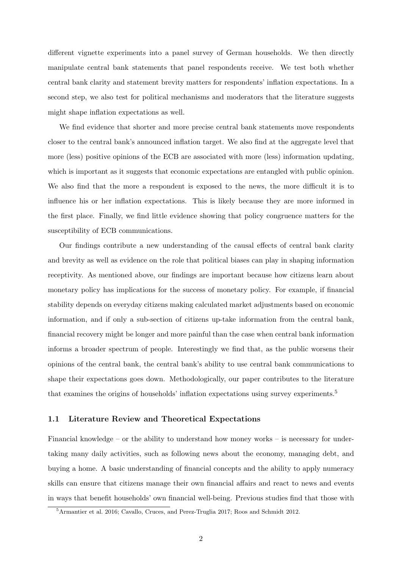different vignette experiments into a panel survey of German households. We then directly manipulate central bank statements that panel respondents receive. We test both whether central bank clarity and statement brevity matters for respondents' inflation expectations. In a second step, we also test for political mechanisms and moderators that the literature suggests might shape inflation expectations as well.

We find evidence that shorter and more precise central bank statements move respondents closer to the central bank's announced inflation target. We also find at the aggregate level that more (less) positive opinions of the ECB are associated with more (less) information updating, which is important as it suggests that economic expectations are entangled with public opinion. We also find that the more a respondent is exposed to the news, the more difficult it is to influence his or her inflation expectations. This is likely because they are more informed in the first place. Finally, we find little evidence showing that policy congruence matters for the susceptibility of ECB communications.

Our findings contribute a new understanding of the causal effects of central bank clarity and brevity as well as evidence on the role that political biases can play in shaping information receptivity. As mentioned above, our findings are important because how citizens learn about monetary policy has implications for the success of monetary policy. For example, if financial stability depends on everyday citizens making calculated market adjustments based on economic information, and if only a sub-section of citizens up-take information from the central bank, financial recovery might be longer and more painful than the case when central bank information informs a broader spectrum of people. Interestingly we find that, as the public worsens their opinions of the central bank, the central bank's ability to use central bank communications to shape their expectations goes down. Methodologically, our paper contributes to the literature that examines the origins of households' inflation expectations using survey experiments.[5](#page-3-0)

#### 1.1 Literature Review and Theoretical Expectations

Financial knowledge – or the ability to understand how money works – is necessary for undertaking many daily activities, such as following news about the economy, managing debt, and buying a home. A basic understanding of financial concepts and the ability to apply numeracy skills can ensure that citizens manage their own financial affairs and react to news and events in ways that benefit households' own financial well-being. Previous studies find that those with

<span id="page-3-0"></span><sup>5</sup>Armantier et al. [2016;](#page-24-5) Cavallo, Cruces, and Perez-Truglia [2017;](#page-24-6) Roos and Schmidt [2012.](#page-25-1)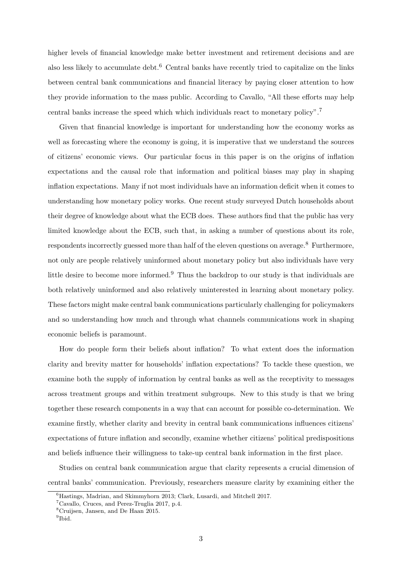higher levels of financial knowledge make better investment and retirement decisions and are also less likely to accumulate debt.<sup>[6](#page-4-0)</sup> Central banks have recently tried to capitalize on the links between central bank communications and financial literacy by paying closer attention to how they provide information to the mass public. According to Cavallo, "All these efforts may help central banks increase the speed which which individuals react to monetary policy".[7](#page-4-1)

Given that financial knowledge is important for understanding how the economy works as well as forecasting where the economy is going, it is imperative that we understand the sources of citizens' economic views. Our particular focus in this paper is on the origins of inflation expectations and the causal role that information and political biases may play in shaping inflation expectations. Many if not most individuals have an information deficit when it comes to understanding how monetary policy works. One recent study surveyed Dutch households about their degree of knowledge about what the ECB does. These authors find that the public has very limited knowledge about the ECB, such that, in asking a number of questions about its role, respondents incorrectly guessed more than half of the eleven questions on average.<sup>[8](#page-4-2)</sup> Furthermore, not only are people relatively uninformed about monetary policy but also individuals have very little desire to become more informed.<sup>[9](#page-4-3)</sup> Thus the backdrop to our study is that individuals are both relatively uninformed and also relatively uninterested in learning about monetary policy. These factors might make central bank communications particularly challenging for policymakers and so understanding how much and through what channels communications work in shaping economic beliefs is paramount.

How do people form their beliefs about inflation? To what extent does the information clarity and brevity matter for households' inflation expectations? To tackle these question, we examine both the supply of information by central banks as well as the receptivity to messages across treatment groups and within treatment subgroups. New to this study is that we bring together these research components in a way that can account for possible co-determination. We examine firstly, whether clarity and brevity in central bank communications influences citizens' expectations of future inflation and secondly, examine whether citizens' political predispositions and beliefs influence their willingness to take-up central bank information in the first place.

Studies on central bank communication argue that clarity represents a crucial dimension of central banks' communication. Previously, researchers measure clarity by examining either the

<span id="page-4-0"></span> $^{6}$ Hastings, Madrian, and Skimmyhorn [2013;](#page-24-7) Clark, Lusardi, and Mitchell [2017.](#page-24-8)

<span id="page-4-1"></span><sup>7</sup>Cavallo, Cruces, and Perez-Truglia [2017,](#page-24-6) p.4.

<span id="page-4-2"></span><sup>8</sup>Cruijsen, Jansen, and De Haan [2015.](#page-24-9)

<span id="page-4-3"></span><sup>9</sup> [Ibid.](#page-24-9)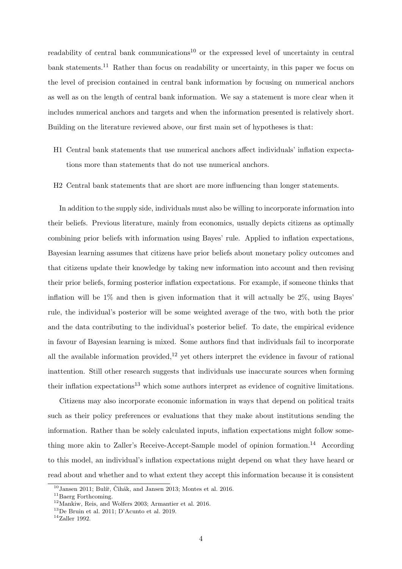readability of central bank communications<sup>[10](#page-5-0)</sup> or the expressed level of uncertainty in central bank statements.<sup>[11](#page-5-1)</sup> Rather than focus on readability or uncertainty, in this paper we focus on the level of precision contained in central bank information by focusing on numerical anchors as well as on the length of central bank information. We say a statement is more clear when it includes numerical anchors and targets and when the information presented is relatively short. Building on the literature reviewed above, our first main set of hypotheses is that:

- H1 Central bank statements that use numerical anchors affect individuals' inflation expectations more than statements that do not use numerical anchors.
- H2 Central bank statements that are short are more influencing than longer statements.

In addition to the supply side, individuals must also be willing to incorporate information into their beliefs. Previous literature, mainly from economics, usually depicts citizens as optimally combining prior beliefs with information using Bayes' rule. Applied to inflation expectations, Bayesian learning assumes that citizens have prior beliefs about monetary policy outcomes and that citizens update their knowledge by taking new information into account and then revising their prior beliefs, forming posterior inflation expectations. For example, if someone thinks that inflation will be  $1\%$  and then is given information that it will actually be  $2\%$ , using Bayes' rule, the individual's posterior will be some weighted average of the two, with both the prior and the data contributing to the individual's posterior belief. To date, the empirical evidence in favour of Bayesian learning is mixed. Some authors find that individuals fail to incorporate all the available information provided,<sup>[12](#page-5-2)</sup> yet others interpret the evidence in favour of rational inattention. Still other research suggests that individuals use inaccurate sources when forming their inflation expectations[13](#page-5-3) which some authors interpret as evidence of cognitive limitations.

Citizens may also incorporate economic information in ways that depend on political traits such as their policy preferences or evaluations that they make about institutions sending the information. Rather than be solely calculated inputs, inflation expectations might follow some-thing more akin to Zaller's Receive-Accept-Sample model of opinion formation.<sup>[14](#page-5-4)</sup> According to this model, an individual's inflation expectations might depend on what they have heard or read about and whether and to what extent they accept this information because it is consistent

<span id="page-5-0"></span> $10$ Jansen [2011;](#page-25-0) Bulíř, Čihák, and Jansen [2013;](#page-24-10) Montes et al. [2016.](#page-25-2)

<span id="page-5-1"></span> $^{11}\mathrm{Baerg}$  [Forthcoming.](#page-24-11)

<span id="page-5-2"></span><sup>12</sup>Mankiw, Reis, and Wolfers [2003;](#page-25-3) Armantier et al. [2016.](#page-24-5)

<span id="page-5-3"></span><sup>13</sup>De Bruin et al. [2011;](#page-24-12) D'Acunto et al. [2019.](#page-24-13)

<span id="page-5-4"></span> $14$ Zaller [1992.](#page-25-4)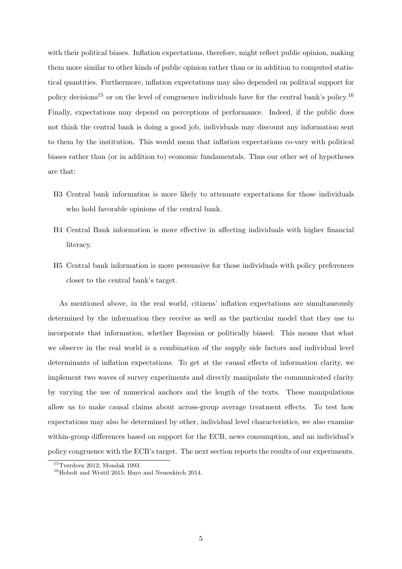with their political biases. Inflation expectations, therefore, might reflect public opinion, making them more similar to other kinds of public opinion rather than or in addition to computed statistical quantities. Furthermore, inflation expectations may also depended on political support for policy decisions<sup>[15](#page-6-0)</sup> or on the level of congruence individuals have for the central bank's policy.<sup>[16](#page-6-1)</sup> Finally, expectations may depend on perceptions of performance. Indeed, if the public does not think the central bank is doing a good job, individuals may discount any information sent to them by the institution. This would mean that inflation expectations co-vary with political biases rather than (or in addition to) economic fundamentals. Thus our other set of hypotheses are that:

- H3 Central bank information is more likely to attenuate expectations for those individuals who hold favorable opinions of the central bank.
- H4 Central Bank information is more effective in affecting individuals with higher financial literacy.
- H5 Central bank information is more persuasive for those individuals with policy preferences closer to the central bank's target.

As mentioned above, in the real world, citizens' inflation expectations are simultaneously determined by the information they receive as well as the particular model that they use to incorporate that information, whether Bayesian or politically biased. This means that what we observe in the real world is a combination of the supply side factors and individual level determinants of inflation expectations. To get at the causal effects of information clarity, we implement two waves of survey experiments and directly manipulate the communicated clarity by varying the use of numerical anchors and the length of the texts. These manipulations allow us to make causal claims about across-group average treatment effects. To test how expectations may also be determined by other, individual level characteristics, we also examine within-group differences based on support for the ECB, news consumption, and an individual's policy congruence with the ECB's target. The next section reports the results of our experiments.

<span id="page-6-0"></span><sup>15</sup>Tverdova [2012;](#page-25-5) Mondak [1993.](#page-25-6)

<span id="page-6-1"></span><sup>16</sup>Hobolt and Wratil [2015;](#page-24-14) Hayo and Neuenkirch [2014.](#page-24-15)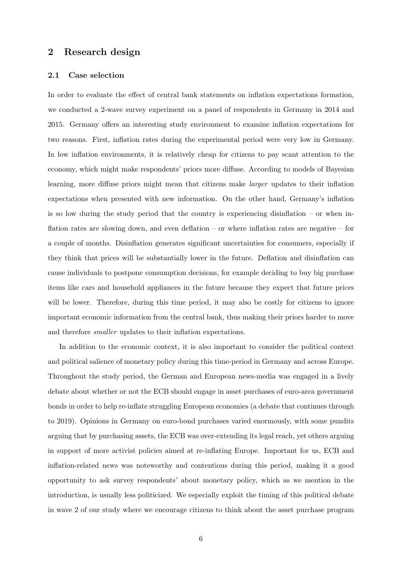### 2 Research design

#### 2.1 Case selection

In order to evaluate the effect of central bank statements on inflation expectations formation, we conducted a 2-wave survey experiment on a panel of respondents in Germany in 2014 and 2015. Germany offers an interesting study environment to examine inflation expectations for two reasons. First, inflation rates during the experimental period were very low in Germany. In low inflation environments, it is relatively cheap for citizens to pay scant attention to the economy, which might make respondents' priors more diffuse. According to models of Bayesian learning, more diffuse priors might mean that citizens make larger updates to their inflation expectations when presented with new information. On the other hand, Germany's inflation is so low during the study period that the country is experiencing disinflation – or when inflation rates are slowing down, and even deflation – or where inflation rates are negative – for a couple of months. Disinflation generates significant uncertainties for consumers, especially if they think that prices will be substantially lower in the future. Deflation and disinflation can cause individuals to postpone consumption decisions, for example deciding to buy big purchase items like cars and household appliances in the future because they expect that future prices will be lower. Therefore, during this time period, it may also be costly for citizens to ignore important economic information from the central bank, thus making their priors harder to move and therefore smaller updates to their inflation expectations.

In addition to the economic context, it is also important to consider the political context and political salience of monetary policy during this time-period in Germany and across Europe. Throughout the study period, the German and European news-media was engaged in a lively debate about whether or not the ECB should engage in asset purchases of euro-area government bonds in order to help re-inflate struggling European economies (a debate that continues through to 2019). Opinions in Germany on euro-bond purchases varied enormously, with some pundits arguing that by purchasing assets, the ECB was over-extending its legal reach, yet others arguing in support of more activist policies aimed at re-inflating Europe. Important for us, ECB and inflation-related news was noteworthy and contentious during this period, making it a good opportunity to ask survey respondents' about monetary policy, which as we mention in the introduction, is usually less politicized. We especially exploit the timing of this political debate in wave 2 of our study where we encourage citizens to think about the asset purchase program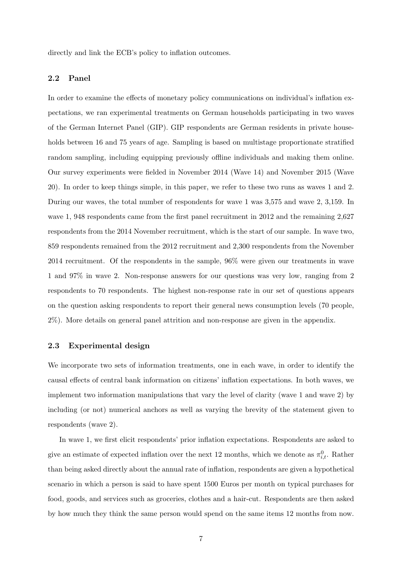directly and link the ECB's policy to inflation outcomes.

#### 2.2 Panel

In order to examine the effects of monetary policy communications on individual's inflation expectations, we ran experimental treatments on German households participating in two waves of the German Internet Panel (GIP). GIP respondents are German residents in private households between 16 and 75 years of age. Sampling is based on multistage proportionate stratified random sampling, including equipping previously offline individuals and making them online. Our survey experiments were fielded in November 2014 (Wave 14) and November 2015 (Wave 20). In order to keep things simple, in this paper, we refer to these two runs as waves 1 and 2. During our waves, the total number of respondents for wave 1 was 3,575 and wave 2, 3,159. In wave 1, 948 respondents came from the first panel recruitment in 2012 and the remaining 2,627 respondents from the 2014 November recruitment, which is the start of our sample. In wave two, 859 respondents remained from the 2012 recruitment and 2,300 respondents from the November 2014 recruitment. Of the respondents in the sample, 96% were given our treatments in wave 1 and 97% in wave 2. Non-response answers for our questions was very low, ranging from 2 respondents to 70 respondents. The highest non-response rate in our set of questions appears on the question asking respondents to report their general news consumption levels (70 people, 2%). More details on general panel attrition and non-response are given in the appendix.

#### 2.3 Experimental design

We incorporate two sets of information treatments, one in each wave, in order to identify the causal effects of central bank information on citizens' inflation expectations. In both waves, we implement two information manipulations that vary the level of clarity (wave 1 and wave 2) by including (or not) numerical anchors as well as varying the brevity of the statement given to respondents (wave 2).

In wave 1, we first elicit respondents' prior inflation expectations. Respondents are asked to give an estimate of expected inflation over the next 12 months, which we denote as  $\pi_{i,t}^0$ . Rather than being asked directly about the annual rate of inflation, respondents are given a hypothetical scenario in which a person is said to have spent 1500 Euros per month on typical purchases for food, goods, and services such as groceries, clothes and a hair-cut. Respondents are then asked by how much they think the same person would spend on the same items 12 months from now.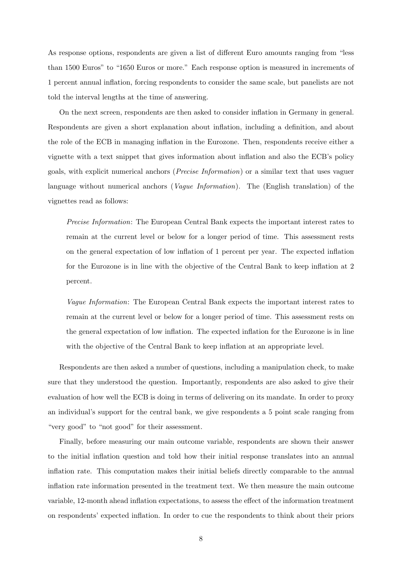As response options, respondents are given a list of different Euro amounts ranging from "less than 1500 Euros" to "1650 Euros or more." Each response option is measured in increments of 1 percent annual inflation, forcing respondents to consider the same scale, but panelists are not told the interval lengths at the time of answering.

On the next screen, respondents are then asked to consider inflation in Germany in general. Respondents are given a short explanation about inflation, including a definition, and about the role of the ECB in managing inflation in the Eurozone. Then, respondents receive either a vignette with a text snippet that gives information about inflation and also the ECB's policy goals, with explicit numerical anchors (Precise Information) or a similar text that uses vaguer language without numerical anchors (*Vague Information*). The (English translation) of the vignettes read as follows:

Precise Information: The European Central Bank expects the important interest rates to remain at the current level or below for a longer period of time. This assessment rests on the general expectation of low inflation of 1 percent per year. The expected inflation for the Eurozone is in line with the objective of the Central Bank to keep inflation at 2 percent.

Vague Information: The European Central Bank expects the important interest rates to remain at the current level or below for a longer period of time. This assessment rests on the general expectation of low inflation. The expected inflation for the Eurozone is in line with the objective of the Central Bank to keep inflation at an appropriate level.

Respondents are then asked a number of questions, including a manipulation check, to make sure that they understood the question. Importantly, respondents are also asked to give their evaluation of how well the ECB is doing in terms of delivering on its mandate. In order to proxy an individual's support for the central bank, we give respondents a 5 point scale ranging from "very good" to "not good" for their assessment.

Finally, before measuring our main outcome variable, respondents are shown their answer to the initial inflation question and told how their initial response translates into an annual inflation rate. This computation makes their initial beliefs directly comparable to the annual inflation rate information presented in the treatment text. We then measure the main outcome variable, 12-month ahead inflation expectations, to assess the effect of the information treatment on respondents' expected inflation. In order to cue the respondents to think about their priors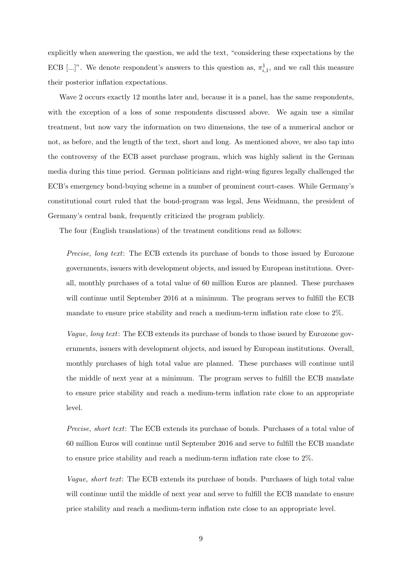explicitly when answering the question, we add the text, "considering these expectations by the ECB [...]". We denote respondent's answers to this question as,  $\pi_{i,1}^1$ , and we call this measure their posterior inflation expectations.

Wave 2 occurs exactly 12 months later and, because it is a panel, has the same respondents, with the exception of a loss of some respondents discussed above. We again use a similar treatment, but now vary the information on two dimensions, the use of a numerical anchor or not, as before, and the length of the text, short and long. As mentioned above, we also tap into the controversy of the ECB asset purchase program, which was highly salient in the German media during this time period. German politicians and right-wing figures legally challenged the ECB's emergency bond-buying scheme in a number of prominent court-cases. While Germany's constitutional court ruled that the bond-program was legal, Jens Weidmann, the president of Germany's central bank, frequently criticized the program publicly.

The four (English translations) of the treatment conditions read as follows:

Precise, long text: The ECB extends its purchase of bonds to those issued by Eurozone governments, issuers with development objects, and issued by European institutions. Overall, monthly purchases of a total value of 60 million Euros are planned. These purchases will continue until September 2016 at a minimum. The program serves to fulfill the ECB mandate to ensure price stability and reach a medium-term inflation rate close to 2%.

Vague, long text: The ECB extends its purchase of bonds to those issued by Eurozone governments, issuers with development objects, and issued by European institutions. Overall, monthly purchases of high total value are planned. These purchases will continue until the middle of next year at a minimum. The program serves to fulfill the ECB mandate to ensure price stability and reach a medium-term inflation rate close to an appropriate level.

Precise, short text: The ECB extends its purchase of bonds. Purchases of a total value of 60 million Euros will continue until September 2016 and serve to fulfill the ECB mandate to ensure price stability and reach a medium-term inflation rate close to 2%.

Vague, short text: The ECB extends its purchase of bonds. Purchases of high total value will continue until the middle of next year and serve to fulfill the ECB mandate to ensure price stability and reach a medium-term inflation rate close to an appropriate level.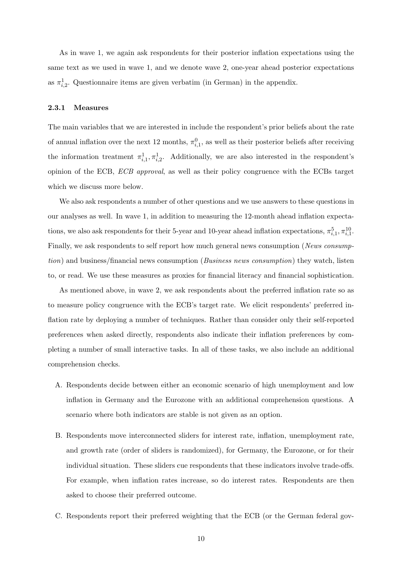As in wave 1, we again ask respondents for their posterior inflation expectations using the same text as we used in wave 1, and we denote wave 2, one-year ahead posterior expectations as  $\pi_{i,2}^1$ . Questionnaire items are given verbatim (in German) in the appendix.

#### 2.3.1 Measures

The main variables that we are interested in include the respondent's prior beliefs about the rate of annual inflation over the next 12 months,  $\pi_{i,1}^0$ , as well as their posterior beliefs after receiving the information treatment  $\pi_{i,1}^1, \pi_{i,2}^1$ . Additionally, we are also interested in the respondent's opinion of the ECB, ECB approval, as well as their policy congruence with the ECBs target which we discuss more below.

We also ask respondents a number of other questions and we use answers to these questions in our analyses as well. In wave 1, in addition to measuring the 12-month ahead inflation expectations, we also ask respondents for their 5-year and 10-year ahead inflation expectations,  $\pi_{i,1}^5, \pi_{i,1}^{10}$ . Finally, we ask respondents to self report how much general news consumption (News consumption) and business/financial news consumption (*Business news consumption*) they watch, listen to, or read. We use these measures as proxies for financial literacy and financial sophistication.

As mentioned above, in wave 2, we ask respondents about the preferred inflation rate so as to measure policy congruence with the ECB's target rate. We elicit respondents' preferred inflation rate by deploying a number of techniques. Rather than consider only their self-reported preferences when asked directly, respondents also indicate their inflation preferences by completing a number of small interactive tasks. In all of these tasks, we also include an additional comprehension checks.

- A. Respondents decide between either an economic scenario of high unemployment and low inflation in Germany and the Eurozone with an additional comprehension questions. A scenario where both indicators are stable is not given as an option.
- B. Respondents move interconnected sliders for interest rate, inflation, unemployment rate, and growth rate (order of sliders is randomized), for Germany, the Eurozone, or for their individual situation. These sliders cue respondents that these indicators involve trade-offs. For example, when inflation rates increase, so do interest rates. Respondents are then asked to choose their preferred outcome.
- C. Respondents report their preferred weighting that the ECB (or the German federal gov-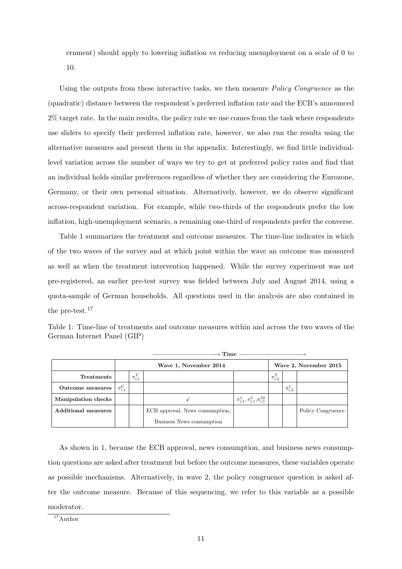ernment) should apply to lowering inflation vs reducing unemployment on a scale of 0 to 10.

Using the outputs from these interactive tasks, we then measure *Policy Congruence* as the (quadratic) distance between the respondent's preferred inflation rate and the ECB's announced 2% target rate. In the main results, the policy rate we use comes from the task where respondents use sliders to specify their preferred inflation rate, however, we also run the results using the alternative measures and present them in the appendix. Interestingly, we find little individuallevel variation across the number of ways we try to get at preferred policy rates and find that an individual holds similar preferences regardless of whether they are considering the Eurozone, Germany, or their own personal situation. Alternatively, however, we do observe significant across-respondent variation. For example, while two-thirds of the respondents prefer the low inflation, high-unemployment scenario, a remaining one-third of respondents prefer the converse.

Table [1](#page-12-0) summarizes the treatment and outcome measures. The time-line indicates in which of the two waves of the survey and at which point within the wave an outcome was measured as well as when the treatment intervention happened. While the survey experiment was not pre-registered, an earlier pre-test survey was fielded between July and August 2014, using a quota-sample of German households. All questions used in the analysis are also contained in the pre-test.<sup>[17](#page-12-1)</sup>

<span id="page-12-0"></span>Table 1: Time-line of treatments and outcome measures within and across the two waves of the German Internet Panel (GIP)

|                            |               | $\cdot$ Time -        |                                 |                                            |               |                       |                   |  |
|----------------------------|---------------|-----------------------|---------------------------------|--------------------------------------------|---------------|-----------------------|-------------------|--|
|                            |               | Wave 1, November 2014 |                                 |                                            |               | Wave 2, November 2015 |                   |  |
| <b>Treatments</b>          |               | $\pi_{i,1}^T$         |                                 |                                            | $\pi_{i,2}^T$ |                       |                   |  |
| Outcome measures           | $\pi_{i,1}^0$ |                       |                                 |                                            |               | $\pi_{i,2}^{\perp}$   |                   |  |
| Manipulation checks        |               |                       |                                 | $\pi^1_{i,1}, \pi^5_{i,1}, \pi^{10}_{i,1}$ |               |                       |                   |  |
| <b>Additional measures</b> |               |                       | ECB approval, News consumption, |                                            |               |                       | Policy Congruence |  |
|                            |               |                       | Business News consumption       |                                            |               |                       |                   |  |

As shown in [1,](#page-12-0) because the ECB approval, news consumption, and business news consumption questions are asked after treatment but before the outcome measures, these variables operate as possible mechanisms. Alternatively, in wave 2, the policy congruence question is asked after the outcome measure. Because of this sequencing, we refer to this variable as a possible moderator.

<span id="page-12-1"></span> $17$ Author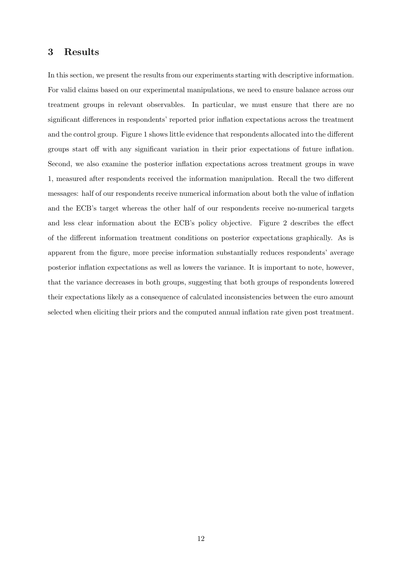### 3 Results

In this section, we present the results from our experiments starting with descriptive information. For valid claims based on our experimental manipulations, we need to ensure balance across our treatment groups in relevant observables. In particular, we must ensure that there are no significant differences in respondents' reported prior inflation expectations across the treatment and the control group. Figure [1](#page-14-0) shows little evidence that respondents allocated into the different groups start off with any significant variation in their prior expectations of future inflation. Second, we also examine the posterior inflation expectations across treatment groups in wave 1, measured after respondents received the information manipulation. Recall the two different messages: half of our respondents receive numerical information about both the value of inflation and the ECB's target whereas the other half of our respondents receive no-numerical targets and less clear information about the ECB's policy objective. Figure [2](#page-14-0) describes the effect of the different information treatment conditions on posterior expectations graphically. As is apparent from the figure, more precise information substantially reduces respondents' average posterior inflation expectations as well as lowers the variance. It is important to note, however, that the variance decreases in both groups, suggesting that both groups of respondents lowered their expectations likely as a consequence of calculated inconsistencies between the euro amount selected when eliciting their priors and the computed annual inflation rate given post treatment.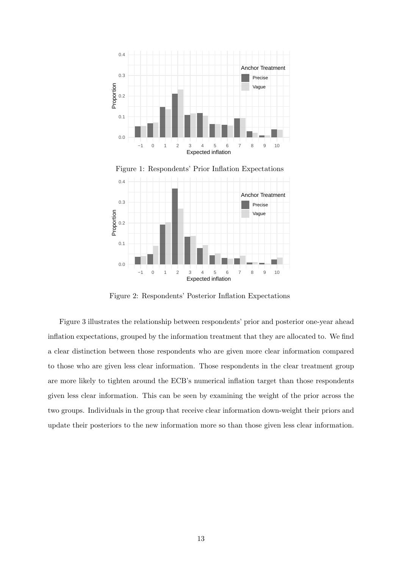<span id="page-14-0"></span>



Figure 1: Respondents' Prior Inflation Expectations

Figure 2: Respondents' Posterior Inflation Expectations

Figure [3](#page-15-0) illustrates the relationship between respondents' prior and posterior one-year ahead inflation expectations, grouped by the information treatment that they are allocated to. We find a clear distinction between those respondents who are given more clear information compared to those who are given less clear information. Those respondents in the clear treatment group are more likely to tighten around the ECB's numerical inflation target than those respondents given less clear information. This can be seen by examining the weight of the prior across the two groups. Individuals in the group that receive clear information down-weight their priors and update their posteriors to the new information more so than those given less clear information.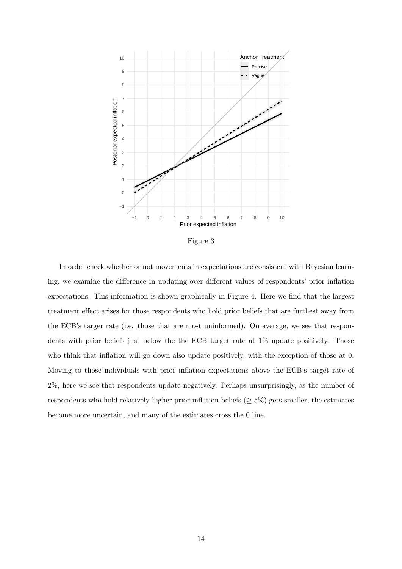<span id="page-15-0"></span>

Figure 3

In order check whether or not movements in expectations are consistent with Bayesian learning, we examine the difference in updating over different values of respondents' prior inflation expectations. This information is shown graphically in Figure [4.](#page-16-0) Here we find that the largest treatment effect arises for those respondents who hold prior beliefs that are furthest away from the ECB's targer rate (i.e. those that are most uninformed). On average, we see that respondents with prior beliefs just below the the ECB target rate at 1% update positively. Those who think that inflation will go down also update positively, with the exception of those at 0. Moving to those individuals with prior inflation expectations above the ECB's target rate of 2%, here we see that respondents update negatively. Perhaps unsurprisingly, as the number of respondents who hold relatively higher prior inflation beliefs ( $\geq$  5%) gets smaller, the estimates become more uncertain, and many of the estimates cross the 0 line.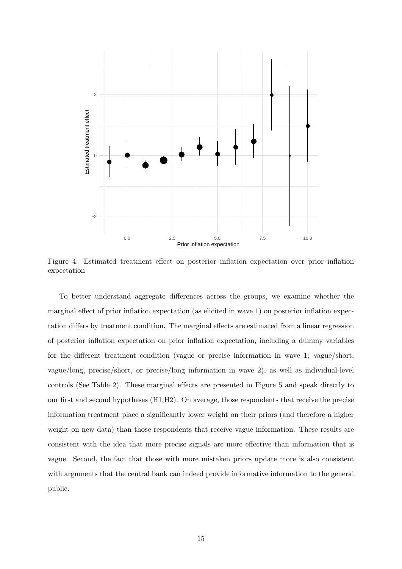<span id="page-16-0"></span>

Figure 4: Estimated treatment effect on posterior inflation expectation over prior inflation expectation

To better understand aggregate differences across the groups, we examine whether the marginal effect of prior inflation expectation (as elicited in wave 1) on posterior inflation expectation differs by treatment condition. The marginal effects are estimated from a linear regression of posterior inflation expectation on prior inflation expectation, including a dummy variables for the different treatment condition (vague or precise information in wave 1; vague/short, vague/long, precise/short, or precise/long information in wave 2), as well as individual-level controls (See Table [2\)](#page-18-0). These marginal effects are presented in Figure [5](#page-17-0) and speak directly to our first and second hypotheses (H1,H2). On average, those respondents that receive the precise information treatment place a significantly lower weight on their priors (and therefore a higher weight on new data) than those respondents that receive vague information. These results are consistent with the idea that more precise signals are more effective than information that is vague. Second, the fact that those with more mistaken priors update more is also consistent with arguments that the central bank can indeed provide informative information to the general public.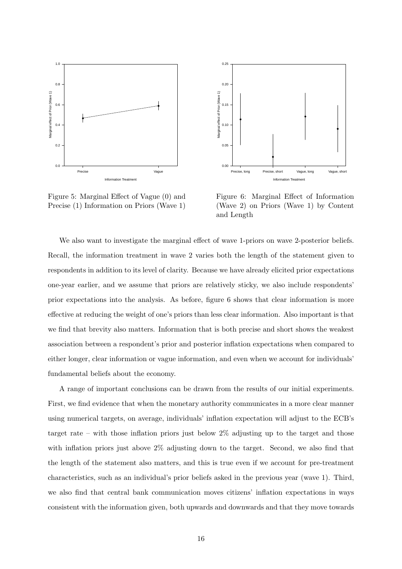<span id="page-17-0"></span>

Figure 5: Marginal Effect of Vague (0) and Precise (1) Information on Priors (Wave 1)



Figure 6: Marginal Effect of Information (Wave 2) on Priors (Wave 1) by Content and Length

We also want to investigate the marginal effect of wave 1-priors on wave 2-posterior beliefs. Recall, the information treatment in wave 2 varies both the length of the statement given to respondents in addition to its level of clarity. Because we have already elicited prior expectations one-year earlier, and we assume that priors are relatively sticky, we also include respondents' prior expectations into the analysis. As before, figure [6](#page-17-0) shows that clear information is more effective at reducing the weight of one's priors than less clear information. Also important is that we find that brevity also matters. Information that is both precise and short shows the weakest association between a respondent's prior and posterior inflation expectations when compared to either longer, clear information or vague information, and even when we account for individuals' fundamental beliefs about the economy.

A range of important conclusions can be drawn from the results of our initial experiments. First, we find evidence that when the monetary authority communicates in a more clear manner using numerical targets, on average, individuals' inflation expectation will adjust to the ECB's target rate – with those inflation priors just below 2% adjusting up to the target and those with inflation priors just above 2% adjusting down to the target. Second, we also find that the length of the statement also matters, and this is true even if we account for pre-treatment characteristics, such as an individual's prior beliefs asked in the previous year (wave 1). Third, we also find that central bank communication moves citizens' inflation expectations in ways consistent with the information given, both upwards and downwards and that they move towards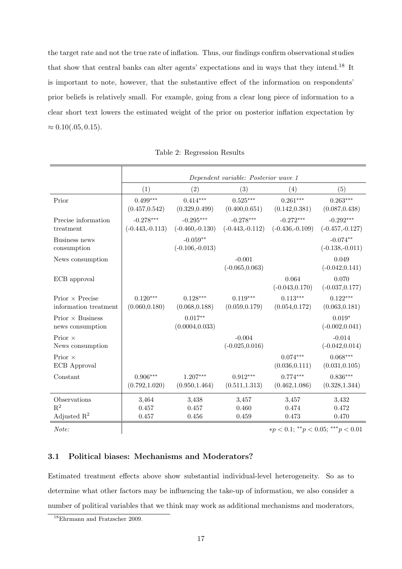the target rate and not the true rate of inflation. Thus, our findings confirm observational studies that show that central banks can alter agents' expectations and in ways that they intend.[18](#page-18-1) It is important to note, however, that the substantive effect of the information on respondents' prior beliefs is relatively small. For example, going from a clear long piece of information to a clear short text lowers the estimated weight of the prior on posterior inflation expectation by  $\approx 0.10(.05, 0.15).$ 

<span id="page-18-0"></span>

|                                                  | Dependent variable: Posterior wave 1 |                                  |                                  |                                  |                                  |  |  |
|--------------------------------------------------|--------------------------------------|----------------------------------|----------------------------------|----------------------------------|----------------------------------|--|--|
|                                                  | (1)                                  | (2)                              | (3)                              | (4)                              | (5)                              |  |  |
| Prior                                            | $0.499***$<br>(0.457, 0.542)         | $0.414***$<br>(0.329, 0.499)     | $0.525***$<br>(0.400, 0.651)     | $0.261***$<br>(0.142, 0.381)     | $0.263***$<br>(0.087, 0.438)     |  |  |
| Precise information<br>treatment                 | $-0.278***$<br>$(-0.443,-0.113)$     | $-0.295***$<br>$(-0.460,-0.130)$ | $-0.278***$<br>$(-0.443,-0.112)$ | $-0.272***$<br>$(-0.436,-0.109)$ | $-0.292***$<br>$(-0.457,-0.127)$ |  |  |
| Business news<br>consumption                     |                                      | $-0.059**$<br>$(-0.106,-0.013)$  |                                  |                                  | $-0.074**$<br>$(-0.138,-0.011)$  |  |  |
| News consumption                                 |                                      |                                  | $-0.001$<br>$(-0.065, 0.063)$    |                                  | 0.049<br>$(-0.042, 0.141)$       |  |  |
| ECB approval                                     |                                      |                                  |                                  | 0.064<br>$(-0.043, 0.170)$       | 0.070<br>$(-0.037, 0.177)$       |  |  |
| Prior $\times$ Precise<br>information treatment  | $0.120***$<br>(0.060, 0.180)         | $0.128***$<br>(0.068, 0.188)     | $0.119***$<br>(0.059, 0.179)     | $0.113***$<br>(0.054, 0.172)     | $0.122***$<br>(0.063, 0.181)     |  |  |
| Prior $\times$ Business<br>news consumption      |                                      | $0.017**$<br>(0.0004, 0.033)     |                                  |                                  | $0.019*$<br>$(-0.002, 0.041)$    |  |  |
| Prior $\times$<br>News consumption               |                                      |                                  | $-0.004$<br>$(-0.025, 0.016)$    |                                  | $-0.014$<br>$(-0.042, 0.014)$    |  |  |
| Prior $\times$<br>ECB Approval                   |                                      |                                  |                                  | $0.074***$<br>(0.036, 0.111)     | $0.068***$<br>(0.031, 0.105)     |  |  |
| Constant                                         | $0.906***$<br>(0.792, 1.020)         | $1.207***$<br>(0.950, 1.464)     | $0.912***$<br>(0.511, 1.313)     | $0.774***$<br>(0.462, 1.086)     | $0.836***$<br>(0.328, 1.344)     |  |  |
| Observations<br>$R^2$<br>Adjusted $\mathbb{R}^2$ | 3,464<br>0.457<br>0.457              | 3,438<br>0.457<br>0.456          | 3,457<br>0.460<br>0.459          | 3,457<br>0.474<br>0.473          | 3,432<br>0.472<br>0.470          |  |  |

|  |  | Table 2: Regression Results |  |
|--|--|-----------------------------|--|
|--|--|-----------------------------|--|

Note:  $\forall p < 0.1; \, ^{**}p < 0.05; \, ^{***}p < 0.01$ 

#### 3.1 Political biases: Mechanisms and Moderators?

Estimated treatment effects above show substantial individual-level heterogeneity. So as to determine what other factors may be influencing the take-up of information, we also consider a number of political variables that we think may work as additional mechanisms and moderators,

<span id="page-18-1"></span><sup>18</sup>Ehrmann and Fratzscher [2009.](#page-24-16)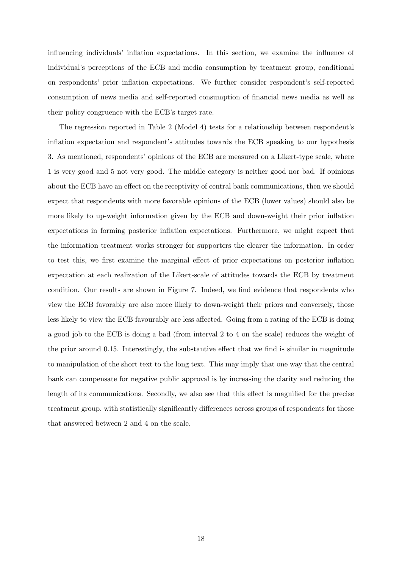influencing individuals' inflation expectations. In this section, we examine the influence of individual's perceptions of the ECB and media consumption by treatment group, conditional on respondents' prior inflation expectations. We further consider respondent's self-reported consumption of news media and self-reported consumption of financial news media as well as their policy congruence with the ECB's target rate.

The regression reported in Table [2](#page-18-0) (Model 4) tests for a relationship between respondent's inflation expectation and respondent's attitudes towards the ECB speaking to our hypothesis 3. As mentioned, respondents' opinions of the ECB are measured on a Likert-type scale, where 1 is very good and 5 not very good. The middle category is neither good nor bad. If opinions about the ECB have an effect on the receptivity of central bank communications, then we should expect that respondents with more favorable opinions of the ECB (lower values) should also be more likely to up-weight information given by the ECB and down-weight their prior inflation expectations in forming posterior inflation expectations. Furthermore, we might expect that the information treatment works stronger for supporters the clearer the information. In order to test this, we first examine the marginal effect of prior expectations on posterior inflation expectation at each realization of the Likert-scale of attitudes towards the ECB by treatment condition. Our results are shown in Figure [7.](#page-20-0) Indeed, we find evidence that respondents who view the ECB favorably are also more likely to down-weight their priors and conversely, those less likely to view the ECB favourably are less affected. Going from a rating of the ECB is doing a good job to the ECB is doing a bad (from interval 2 to 4 on the scale) reduces the weight of the prior around 0.15. Interestingly, the substantive effect that we find is similar in magnitude to manipulation of the short text to the long text. This may imply that one way that the central bank can compensate for negative public approval is by increasing the clarity and reducing the length of its communications. Secondly, we also see that this effect is magnified for the precise treatment group, with statistically significantly differences across groups of respondents for those that answered between 2 and 4 on the scale.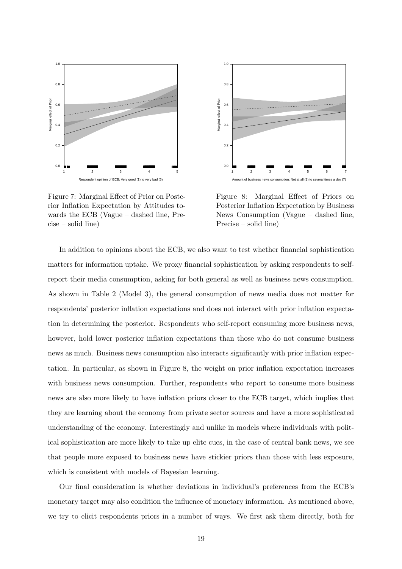<span id="page-20-0"></span>

Figure 7: Marginal Effect of Prior on Posterior Inflation Expectation by Attitudes towards the ECB (Vague – dashed line, Precise – solid line)



Figure 8: Marginal Effect of Priors on Posterior Inflation Expectation by Business News Consumption (Vague – dashed line, Precise – solid line)

In addition to opinions about the ECB, we also want to test whether financial sophistication matters for information uptake. We proxy financial sophistication by asking respondents to selfreport their media consumption, asking for both general as well as business news consumption. As shown in Table [2](#page-18-0) (Model 3), the general consumption of news media does not matter for respondents' posterior inflation expectations and does not interact with prior inflation expectation in determining the posterior. Respondents who self-report consuming more business news, however, hold lower posterior inflation expectations than those who do not consume business news as much. Business news consumption also interacts significantly with prior inflation expectation. In particular, as shown in Figure [8,](#page-20-0) the weight on prior inflation expectation increases with business news consumption. Further, respondents who report to consume more business news are also more likely to have inflation priors closer to the ECB target, which implies that they are learning about the economy from private sector sources and have a more sophisticated understanding of the economy. Interestingly and unlike in models where individuals with political sophistication are more likely to take up elite cues, in the case of central bank news, we see that people more exposed to business news have stickier priors than those with less exposure, which is consistent with models of Bayesian learning.

Our final consideration is whether deviations in individual's preferences from the ECB's monetary target may also condition the influence of monetary information. As mentioned above, we try to elicit respondents priors in a number of ways. We first ask them directly, both for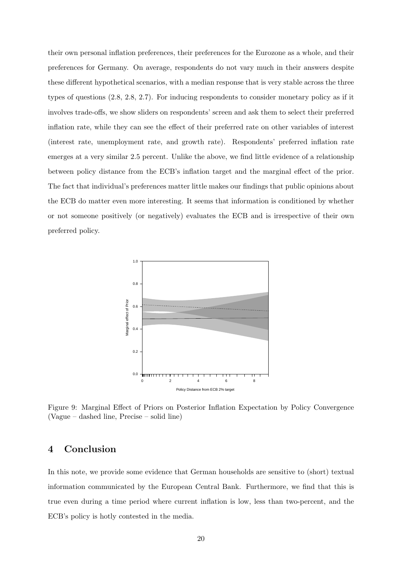their own personal inflation preferences, their preferences for the Eurozone as a whole, and their preferences for Germany. On average, respondents do not vary much in their answers despite these different hypothetical scenarios, with a median response that is very stable across the three types of questions (2.8, 2.8, 2.7). For inducing respondents to consider monetary policy as if it involves trade-offs, we show sliders on respondents' screen and ask them to select their preferred inflation rate, while they can see the effect of their preferred rate on other variables of interest (interest rate, unemployment rate, and growth rate). Respondents' preferred inflation rate emerges at a very similar 2.5 percent. Unlike the above, we find little evidence of a relationship between policy distance from the ECB's inflation target and the marginal effect of the prior. The fact that individual's preferences matter little makes our findings that public opinions about the ECB do matter even more interesting. It seems that information is conditioned by whether or not someone positively (or negatively) evaluates the ECB and is irrespective of their own preferred policy.



Figure 9: Marginal Effect of Priors on Posterior Inflation Expectation by Policy Convergence (Vague – dashed line, Precise – solid line)

### 4 Conclusion

In this note, we provide some evidence that German households are sensitive to (short) textual information communicated by the European Central Bank. Furthermore, we find that this is true even during a time period where current inflation is low, less than two-percent, and the ECB's policy is hotly contested in the media.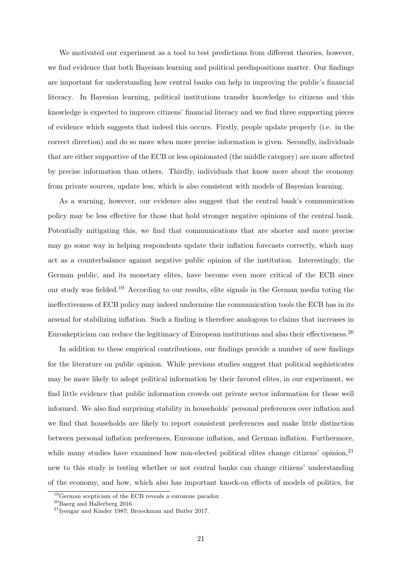We motivated our experiment as a tool to test predictions from different theories, however, we find evidence that both Bayeisan learning and political predispositions matter. Our findings are important for understanding how central banks can help in improving the public's financial literacy. In Bayesian learning, political institutions transfer knowledge to citizens and this knowledge is expected to improve citizens' financial literacy and we find three supporting pieces of evidence which suggests that indeed this occurs. Firstly, people update properly (i.e. in the correct direction) and do so more when more precise information is given. Secondly, individuals that are either supportive of the ECB or less opinionated (the middle category) are more affected by precise information than others. Thirdly, individuals that know more about the economy from private sources, update less, which is also consistent with models of Bayesian learning.

As a warning, however, our evidence also suggest that the central bank's communication policy may be less effective for those that hold stronger negative opinions of the central bank. Potentially mitigating this, we find that communications that are shorter and more precise may go some way in helping respondents update their inflation forecasts correctly, which may act as a counterbalance against negative public opinion of the institution. Interestingly, the German public, and its monetary elites, have become even more critical of the ECB since our study was fielded.[19](#page-22-0) According to our results, elite signals in the German media toting the ineffectiveness of ECB policy may indeed undermine the communication tools the ECB has in its arsenal for stabilizing inflation. Such a finding is therefore analogous to claims that increases in Euroskepticism can reduce the legitimacy of European institutions and also their effectiveness.[20](#page-22-1)

In addition to these empirical contributions, our findings provide a number of new findings for the literature on public opinion. While previous studies suggest that political sophisticates may be more likely to adopt political information by their favored elites, in our experiment, we find little evidence that public information crowds out private sector information for those well informed. We also find surprising stability in households' personal preferences over inflation and we find that households are likely to report consistent preferences and make little distinction between personal inflation preferences, Eurozone inflation, and German inflation. Furthermore, while many studies have examined how non-elected political elites change citizens' opinion,<sup>[21](#page-22-2)</sup> new to this study is testing whether or not central banks can change citizens' understanding of the economy, and how, which also has important knock-on effects of models of politics, for

<span id="page-22-0"></span><sup>19</sup>[German scepticism of the ECB reveals a eurozone paradox](https://www.ft.com/content/f6c5ef44-e066-11e9-9743-db5a370481bc)

<span id="page-22-1"></span><sup>20</sup>Baerg and Hallerberg [2016.](#page-24-17)

<span id="page-22-2"></span><sup>21</sup>Iyengar and Kinder [1987;](#page-24-18) Broockman and Butler [2017.](#page-24-19)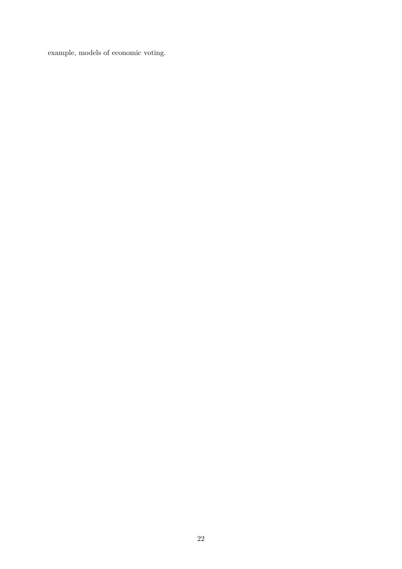example, models of economic voting.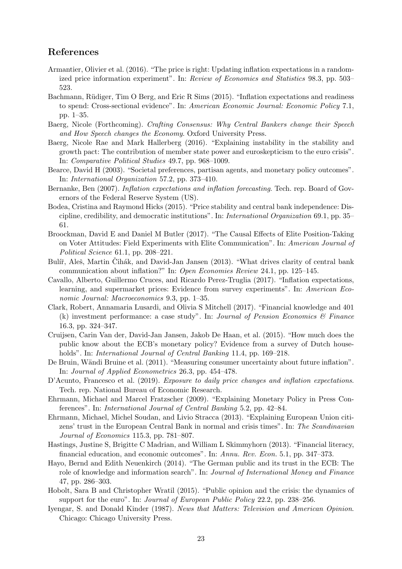### References

- <span id="page-24-5"></span>Armantier, Olivier et al. (2016). "The price is right: Updating inflation expectations in a randomized price information experiment". In: Review of Economics and Statistics 98.3, pp. 503– 523.
- <span id="page-24-3"></span>Bachmann, Rüdiger, Tim O Berg, and Eric R Sims (2015). "Inflation expectations and readiness to spend: Cross-sectional evidence". In: American Economic Journal: Economic Policy 7.1, pp. 1–35.
- <span id="page-24-11"></span>Baerg, Nicole (Forthcoming). Crafting Consensus: Why Central Bankers change their Speech and How Speech changes the Economy. Oxford University Press.
- <span id="page-24-17"></span>Baerg, Nicole Rae and Mark Hallerberg (2016). "Explaining instability in the stability and growth pact: The contribution of member state power and euroskepticism to the euro crisis". In: Comparative Political Studies 49.7, pp. 968–1009.
- <span id="page-24-0"></span>Bearce, David H (2003). "Societal preferences, partisan agents, and monetary policy outcomes". In: International Organization 57.2, pp. 373–410.
- <span id="page-24-1"></span>Bernanke, Ben (2007). Inflation expectations and inflation forecasting. Tech. rep. Board of Governors of the Federal Reserve System (US).
- <span id="page-24-2"></span>Bodea, Cristina and Raymond Hicks (2015). "Price stability and central bank independence: Discipline, credibility, and democratic institutions". In: International Organization 69.1, pp. 35– 61.
- <span id="page-24-19"></span>Broockman, David E and Daniel M Butler (2017). "The Causal Effects of Elite Position-Taking on Voter Attitudes: Field Experiments with Elite Communication". In: American Journal of Political Science 61.1, pp. 208–221.
- <span id="page-24-10"></span>Bulíř, Aleš, Martin Čihák, and David-Jan Jansen (2013). "What drives clarity of central bank communication about inflation?" In: Open Economies Review 24.1, pp. 125–145.
- <span id="page-24-6"></span>Cavallo, Alberto, Guillermo Cruces, and Ricardo Perez-Truglia (2017). "Inflation expectations, learning, and supermarket prices: Evidence from survey experiments". In: American Economic Journal: Macroeconomics 9.3, pp. 1–35.
- <span id="page-24-8"></span>Clark, Robert, Annamaria Lusardi, and Olivia S Mitchell (2017). "Financial knowledge and 401 (k) investment performance: a case study". In: Journal of Pension Economics  $\mathcal{B}$  Finance 16.3, pp. 324–347.
- <span id="page-24-9"></span>Cruijsen, Carin Van der, David-Jan Jansen, Jakob De Haan, et al. (2015). "How much does the public know about the ECB's monetary policy? Evidence from a survey of Dutch households". In: International Journal of Central Banking 11.4, pp. 169–218.
- <span id="page-24-12"></span>De Bruin, Wändi Bruine et al. (2011). "Measuring consumer uncertainty about future inflation". In: Journal of Applied Econometrics 26.3, pp. 454–478.
- <span id="page-24-13"></span>D'Acunto, Francesco et al. (2019). Exposure to daily price changes and inflation expectations. Tech. rep. National Bureau of Economic Research.
- <span id="page-24-16"></span>Ehrmann, Michael and Marcel Fratzscher (2009). "Explaining Monetary Policy in Press Conferences". In: International Journal of Central Banking 5.2, pp. 42–84.
- <span id="page-24-4"></span>Ehrmann, Michael, Michel Soudan, and Livio Stracca (2013). "Explaining European Union citizens' trust in the European Central Bank in normal and crisis times". In: The Scandinavian Journal of Economics 115.3, pp. 781–807.
- <span id="page-24-7"></span>Hastings, Justine S, Brigitte C Madrian, and William L Skimmyhorn (2013). "Financial literacy, financial education, and economic outcomes". In: Annu. Rev. Econ. 5.1, pp. 347–373.
- <span id="page-24-15"></span>Hayo, Bernd and Edith Neuenkirch (2014). "The German public and its trust in the ECB: The role of knowledge and information search". In: Journal of International Money and Finance 47, pp. 286–303.
- <span id="page-24-14"></span>Hobolt, Sara B and Christopher Wratil (2015). "Public opinion and the crisis: the dynamics of support for the euro". In: *Journal of European Public Policy* 22.2, pp. 238–256.
- <span id="page-24-18"></span>Iyengar, S. and Donald Kinder (1987). News that Matters: Television and American Opinion. Chicago: Chicago University Press.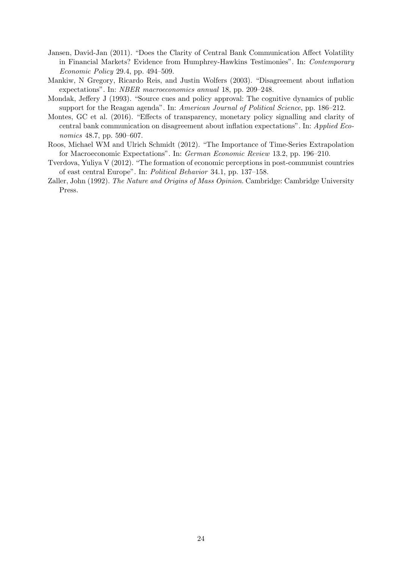- <span id="page-25-0"></span>Jansen, David-Jan (2011). "Does the Clarity of Central Bank Communication Affect Volatility in Financial Markets? Evidence from Humphrey-Hawkins Testimonies". In: Contemporary Economic Policy 29.4, pp. 494–509.
- <span id="page-25-3"></span>Mankiw, N Gregory, Ricardo Reis, and Justin Wolfers (2003). "Disagreement about inflation expectations". In: NBER macroeconomics annual 18, pp. 209–248.
- <span id="page-25-6"></span>Mondak, Jeffery J (1993). "Source cues and policy approval: The cognitive dynamics of public support for the Reagan agenda". In: American Journal of Political Science, pp. 186–212.
- <span id="page-25-2"></span>Montes, GC et al. (2016). "Effects of transparency, monetary policy signalling and clarity of central bank communication on disagreement about inflation expectations". In: Applied Economics 48.7, pp. 590–607.
- <span id="page-25-1"></span>Roos, Michael WM and Ulrich Schmidt (2012). "The Importance of Time-Series Extrapolation for Macroeconomic Expectations". In: German Economic Review 13.2, pp. 196–210.
- <span id="page-25-5"></span>Tverdova, Yuliya V (2012). "The formation of economic perceptions in post-communist countries of east central Europe". In: Political Behavior 34.1, pp. 137–158.
- <span id="page-25-4"></span>Zaller, John (1992). The Nature and Origins of Mass Opinion. Cambridge: Cambridge University Press.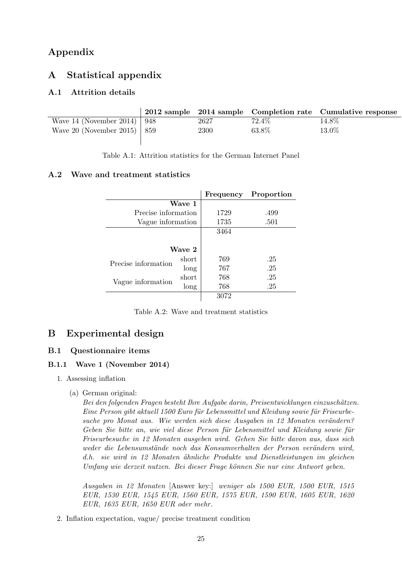# Appendix

# A Statistical appendix

### A.1 Attrition details

|                                 |      |        | 2012 sample 2014 sample Completion rate Cumulative response |
|---------------------------------|------|--------|-------------------------------------------------------------|
| Wave 14 (November 2014)   $948$ | 2627 | 72.4\% | 14.8%                                                       |
| Wave 20 (November 2015)   859   | 2300 | 63.8%  | 13.0%                                                       |
|                                 |      |        |                                                             |

Table A.1: Attrition statistics for the German Internet Panel

### A.2 Wave and treatment statistics

|                     |        | Frequency | Proportion |
|---------------------|--------|-----------|------------|
|                     | Wave 1 |           |            |
| Precise information |        | 1729      | .499       |
| Vague information   |        | 1735      | .501       |
|                     |        | 3464      |            |
|                     |        |           |            |
|                     | Wave 2 |           |            |
| Precise information | short  | 769       | .25        |
|                     | long   | 767       | .25        |
| Vague information   | short  | 768       | .25        |
|                     | long   | 768       | .25        |
|                     |        | 3072      |            |

Table A.2: Wave and treatment statistics

# B Experimental design

### B.1 Questionnaire items

### B.1.1 Wave 1 (November 2014)

- 1. Assessing inflation
	- (a) German original:

Bei den folgenden Fragen besteht Ihre Aufgabe darin, Preisentwicklungen einzuschätzen. Eine Person gibt aktuell 1500 Euro für Lebensmittel und Kleidung sowie für Friseurbesuche pro Monat aus. Wie werden sich diese Ausgaben in 12 Monaten verändern? Geben Sie bitte an, wie viel diese Person für Lebensmittel und Kleidung sowie für Friseurbesuche in 12 Monaten ausgeben wird. Gehen Sie bitte davon aus, dass sich weder die Lebensumstände noch das Konsumverhalten der Person verändern wird, d.h. sie wird in 12 Monaten ähnliche Produkte und Dienstleistungen im gleichen Umfang wie derzeit nutzen. Bei dieser Frage können Sie nur eine Antwort geben.

Ausgaben in 12 Monaten [Answer key:] weniger als 1500 EUR, 1500 EUR, 1515 EUR, 1530 EUR, 1545 EUR, 1560 EUR, 1575 EUR, 1590 EUR, 1605 EUR, 1620 EUR, 1635 EUR, 1650 EUR oder mehr.

2. Inflation expectation, vague/ precise treatment condition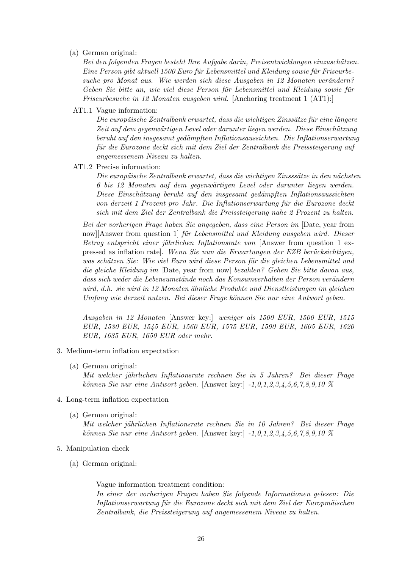(a) German original:

Bei den folgenden Fragen besteht Ihre Aufgabe darin, Preisentwicklungen einzuschätzen. Eine Person gibt aktuell 1500 Euro für Lebensmittel und Kleidung sowie für Friseurbesuche pro Monat aus. Wie werden sich diese Ausgaben in 12 Monaten verändern? Geben Sie bitte an, wie viel diese Person für Lebensmittel und Kleidung sowie für Friseurbesuche in 12 Monaten ausgeben wird. [Anchoring treatment 1 (AT1):]

AT1.1 Vague information:

Die europäische Zentralbank erwartet, dass die wichtigen Zinssätze für eine längere Zeit auf dem gegenwärtigen Level oder darunter liegen werden. Diese Einschätzung beruht auf den insgesamt gedämpften Inflationsaussichten. Die Inflationserwartung für die Eurozone deckt sich mit dem Ziel der Zentralbank die Preissteigerung auf angemessenem Niveau zu halten.

AT1.2 Precise information:

Die europäische Zentralbank erwartet, dass die wichtigen Zinsssätze in den nächsten 6 bis 12 Monaten auf dem gegenw¨artigen Level oder darunter liegen werden. Diese Einschätzung beruht auf den insgesamt gedämpften Inflationsaussichten von derzeit 1 Prozent pro Jahr. Die Inflationserwartung für die Eurozone deckt sich mit dem Ziel der Zentralbank die Preissteigerung nahe 2 Prozent zu halten.

Bei der vorherigen Frage haben Sie angegeben, dass eine Person im [Date, year from now][Answer from question 1] für Lebensmittel und Kleidung ausgeben wird. Dieser Betrag entspricht einer jährlichen Inflationsrate von [Answer from question 1 expressed as inflation rate. Wenn Sie nun die Erwartungen der EZB berücksichtigen, was schätzen Sie: Wie viel Euro wird diese Person für die gleichen Lebensmittel und die gleiche Kleidung im [Date, year from now] bezahlen? Gehen Sie bitte davon aus, dass sich weder die Lebensumstände noch das Konsumverhalten der Person verändern wird, d.h. sie wird in 12 Monaten ähnliche Produkte und Dienstleistungen im gleichen Umfang wie derzeit nutzen. Bei dieser Frage können Sie nur eine Antwort geben.

Ausgaben in 12 Monaten [Answer key:] weniger als 1500 EUR, 1500 EUR, 1515 EUR, 1530 EUR, 1545 EUR, 1560 EUR, 1575 EUR, 1590 EUR, 1605 EUR, 1620 EUR, 1635 EUR, 1650 EUR oder mehr.

- 3. Medium-term inflation expectation
	- (a) German original:

Mit welcher jährlichen Inflationsrate rechnen Sie in 5 Jahren? Bei dieser Frage können Sie nur eine Antwort geben. [Answer key:]  $-1,0,1,2,3,4,5,6,7,8,9,10$  %

- 4. Long-term inflation expectation
	- (a) German original: Mit welcher jährlichen Inflationsrate rechnen Sie in 10 Jahren? Bei dieser Frage können Sie nur eine Antwort geben. [Answer key:]  $-1,0,1,2,3,4,5,6,7,8,9,10\%$
- 5. Manipulation check
	- (a) German original:

Vague information treatment condition:

In einer der vorherigen Fragen haben Sie folgende Informationen gelesen: Die Inflationserwartung für die Eurozone deckt sich mit dem Ziel der Europmäischen Zentralbank, die Preissteigerung auf angemessenem Niveau zu halten.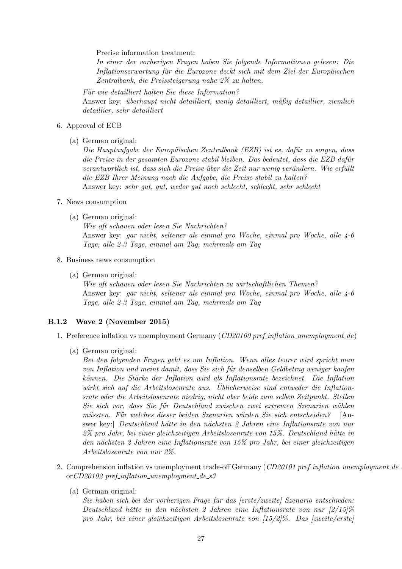Precise information treatment:

In einer der vorherigen Fragen haben Sie folgende Informationen gelesen: Die Inflationserwartung für die Eurozone deckt sich mit dem Ziel der Europäischen Zentralbank, die Preissteigerung nahe 2% zu halten.

Für wie detailliert halten Sie diese Information? Answer key: überhaupt nicht detailliert, wenig detailliert, mäßig detaillier, ziemlich detaillier, sehr detailliert

#### 6. Approval of ECB

(a) German original:

Die Hauptaufgabe der Europäischen Zentralbank (EZB) ist es, dafür zu sorgen, dass die Preise in der gesamten Eurozone stabil bleiben. Das bedeutet, dass die EZB dafür verantwortlich ist, dass sich die Preise über die Zeit nur wenig verändern. Wie erfüllt die EZB Ihrer Meinung nach die Aufgabe, die Preise stabil zu halten? Answer key: sehr gut, gut, weder gut noch schlecht, schlecht, sehr schlecht

- 7. News consumption
	- (a) German original:

Wie oft schauen oder lesen Sie Nachrichten? Answer key: gar nicht, seltener als einmal pro Woche, einmal pro Woche, alle 4-6 Tage, alle 2-3 Tage, einmal am Tag, mehrmals am Tag

- 8. Business news consumption
	- (a) German original:

Wie oft schauen oder lesen Sie Nachrichten zu wirtschaftlichen Themen? Answer key: gar nicht, seltener als einmal pro Woche, einmal pro Woche, alle 4-6 Tage, alle 2-3 Tage, einmal am Tag, mehrmals am Tag

#### B.1.2 Wave 2 (November 2015)

- 1. Preference inflation vs unemployment Germany (CD20100 pref.inflation\_unemployment\_de)
	- (a) German original:

Bei den folgenden Fragen geht es um Inflation. Wenn alles teurer wird spricht man von Inflation und meint damit, dass Sie sich für denselben Geldbetrag weniger kaufen können. Die Stärke der Inflation wird als Inflationsrate bezeichnet. Die Inflation wirkt sich auf die Arbeitslosenrate aus. Üblicherweise sind entweder die Inflationsrate oder die Arbeitslosenrate niedrig, nicht aber beide zum selben Zeitpunkt. Stellen Sie sich vor, dass Sie für Deutschland zwischen zwei extremen Szenarien wählen müssten. Für welches dieser beiden Szenarien würden Sie sich entscheiden? [Answer key: Deutschland hätte in den nächsten 2 Jahren eine Inflationsrate von nur 2% pro Jahr, bei einer gleichzeitigen Arbeitslosenrate von 15%. Deutschland h¨atte in den nächsten 2 Jahren eine Inflationsrate von 15% pro Jahr, bei einer gleichzeitigen Arbeitslosenrate von nur 2%.

- 2. Comprehension inflation vs unemployment trade-off Germany ( $CD20101$  pref-inflation unemployment de or $CD20102$  pref-inflation-unemployment-de-s3
	- (a) German original:

 $Sie$  haben sich bei der vorherigen Frage für das [erste/zweite] Szenario entschieden: Deutschland hätte in den nächsten 2 Jahren eine Inflationsrate von nur  $\left[2/15\right]\%$ pro Jahr, bei einer gleichzeitigen Arbeitslosenrate von [15/2]%. Das [zweite/erste]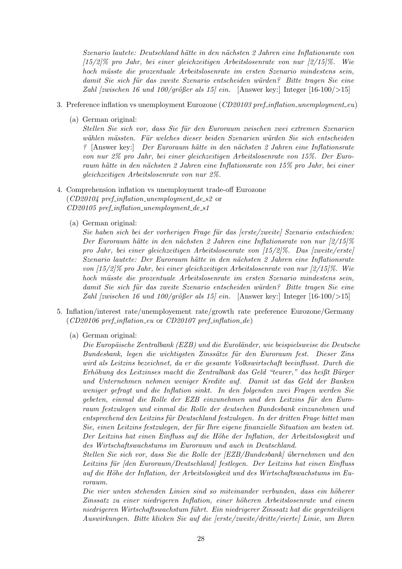Szenario lautete: Deutschland hätte in den nächsten 2 Jahren eine Inflationsrate von [15/2]% pro Jahr, bei einer gleichzeitigen Arbeitslosenrate von nur [2/15]%. Wie hoch müsste die prozentuale Arbeitslosenrate im ersten Szenario mindestens sein, damit Sie sich für das zweite Szenario entscheiden würden? Bitte tragen Sie eine Zahl [zwischen 16 und 100/qrößer als 15] ein. [Answer key:] Integer [16-100/ $>15$ ]

- 3. Preference inflation vs unemployment Eurozone (CD20103 pref.inflation\_unemployment\_eu)
	- (a) German original:

Stellen Sie sich vor, dass Sie für den Euroraum zwischen zwei extremen Szenarien wählen mässten. Für welches dieser beiden Szenarien würden Sie sich entscheiden ? [Answer key:] Der Euroraum hätte in den nächsten 2 Jahren eine Inflationsrate von nur 2% pro Jahr, bei einer gleichzeitigen Arbeitslosenrate von 15%. Der Euroraum hätte in den nächsten 2 Jahren eine Inflationsrate von 15% pro Jahr, bei einer gleichzeitigen Arbeitslosenrate von nur 2%.

- 4. Comprehension inflation vs unemployment trade-off Eurozone  $(CD20104$  pref\_inflation\_unemployment\_de\_s2 or  $CD20105$  pref\_inflation\_unemployment\_de\_s1
	- (a) German original:

Sie haben sich bei der vorherigen Frage für das [erste/zweite] Szenario entschieden: Der Euroraum hätte in den nächsten 2 Jahren eine Inflationsrate von nur  $\left[\frac{2}{15}\right]\%$ pro Jahr, bei einer gleichzeitigen Arbeitslosenrate von [15/2]%. Das [zweite/erste] Szenario lautete: Der Euroraum hätte in den nächsten 2 Jahren eine Inflationsrate von [15/2]% pro Jahr, bei einer gleichzeitigen Arbeitslosenrate von nur [2/15]%. Wie hoch müsste die prozentuale Arbeitslosenrate im ersten Szenario mindestens sein. damit Sie sich für das zweite Szenario entscheiden würden? Bitte tragen Sie eine Zahl [zwischen 16 und 100/größer als 15] ein. [Answer key:] Integer [16-100/ $>15$ ]

- 5. Inflation/interest rate/unemployement rate/growth rate preference Eurozone/Germany  $(CD20106\ pref.inflation\_eu\ or\ CD20107\ pref.inflation\_de)$ 
	- (a) German original:

Die Europäische Zentralbank (EZB) und die Euroländer, wie beispielsweise die Deutsche Bundesbank, legen die wichtigsten Zinssätze für den Euroraum fest. Dieser Zins wird als Leitzins bezeichnet, da er die gesamte Volkswirtschaft beeinflusst. Durch die Erhöhung des Leitzinses macht die Zentralbank das Geld "teurer," das heißt Bürger und Unternehmen nehmen weniger Kredite auf. Damit ist das Geld der Banken weniger gefragt und die Inflation sinkt. In den folgenden zwei Fragen werden Sie gebeten, einmal die Rolle der EZB einzunehmen und den Leitzins für den Euroraum festzulegen und einmal die Rolle der deutschen Bundesbank einzunehmen und entsprechend den Leitzins für Deutschland festzulegen. In der dritten Frage bittet man Sie, einen Leitzins festzulegen, der für Ihre eigene finanzielle Situation am besten ist. Der Leitzins hat einen Einfluss auf die Höhe der Inflation, der Arbeitslosigkeit und des Wirtschaftswachstums im Euroraum und auch in Deutschland.

Stellen Sie sich vor, dass Sie die Rolle der [EZB/Bundesbank] ¨ubernehmen und den Leitzins für *[den Euroraum/Deutschland]* festlegen. Der Leitzins hat einen Einfluss auf die H¨ohe der Inflation, der Arbeitslosigkeit und des Wirtschaftswachstums im Euroraum.

Die vier unten stehenden Linien sind so miteinander verbunden, dass ein höherer Zinssatz zu einer niedrigeren Inflation, einer höheren Arbeitslosenrate und einem niedrigeren Wirtschaftswachstum führt. Ein niedrigerer Zinssatz hat die gegenteiligen Auswirkungen. Bitte klicken Sie auf die [erste/zweite/dritte/vierte] Linie, um Ihren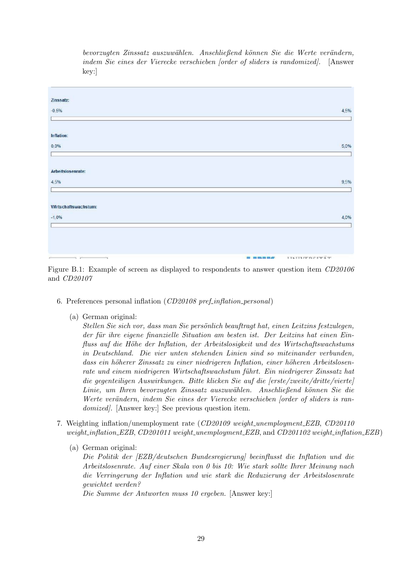bevorzugten Zinssatz auszuwählen. Anschließend können Sie die Werte verändern, indem Sie eines der Vierecke verschieben [order of sliders is randomized]. [Answer key:]

| Zinssatz:            |                                                  |
|----------------------|--------------------------------------------------|
| $-0,5%$              | 4,5%                                             |
|                      |                                                  |
| Inflation:           |                                                  |
| 0.0%                 | 5,0%                                             |
|                      |                                                  |
| Arbeitslosenrate:    |                                                  |
| 4,5%                 | 9,5%                                             |
|                      |                                                  |
| Wirtschaftswachstum: |                                                  |
| $-1,0%$              | 4,0%                                             |
|                      |                                                  |
|                      |                                                  |
|                      |                                                  |
| $\sim$ $\sim$<br>-4  | TINITITY DEPTATE<br><b>BUT IN BILLION BULGEY</b> |

Figure B.1: Example of screen as displayed to respondents to answer question item CD20106 and CD20107

- 6. Preferences personal inflation (CD20108 pref-inflation-personal)
	- (a) German original:

Stellen Sie sich vor, dass man Sie persönlich beauftragt hat, einen Leitzins festzulegen, der für ihre eigene finanzielle Situation am besten ist. Der Leitzins hat einen Einfluss auf die Höhe der Inflation, der Arbeitslosigkeit und des Wirtschaftswachstums in Deutschland. Die vier unten stehenden Linien sind so miteinander verbunden, dass ein höherer Zinssatz zu einer niedrigeren Inflation, einer höheren Arbeitslosenrate und einem niedrigeren Wirtschaftswachstum führt. Ein niedrigerer Zinssatz hat die gegenteiligen Auswirkungen. Bitte klicken Sie auf die [erste/zweite/dritte/vierte] Linie, um Ihren bevorzugten Zinssatz auszuwählen. Anschließend können Sie die Werte verändern, indem Sie eines der Vierecke verschieben [order of sliders is randomized. [Answer key:] See previous question item.

- 7. Weighting inflation/unemployment rate (CD20109 weight unemployment EZB, CD20110 weight inflation EZB, CD201011 weight unemployment EZB, and CD201102 weight inflation EZB)
	- (a) German original:

Die Politik der [EZB/deutschen Bundesregierung] beeinflusst die Inflation und die Arbeitslosenrate. Auf einer Skala von 0 bis 10: Wie stark sollte Ihrer Meinung nach die Verringerung der Inflation und wie stark die Reduzierung der Arbeitslosenrate gewichtet werden?

Die Summe der Antworten muss 10 ergeben. [Answer key:]